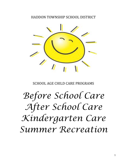# HADDON TOWNSHIP SCHOOL DISTRICT



SCHOOL AGE CHILD CARE PROGRAMS

*Before School Care After School Care Kindergarten Care Summer Recreation*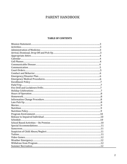# PARENT HANDBOOK

# **TABLE OF CONTENTS**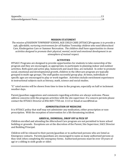#### **MISSION STATEMENT**

*The mission of* HADDON TOWNSHIP SCHOOL AGE CHILD CARE (HTSACC)Programs *is to provide a* safe, affordable, nurturing environment for all Haddon Township *children* who need Afterschool Care, Kindergarten Care or Summer Recreation. The children shall have opportunities to choose activities designed to promote their physical, mental, social and emotional development in an *atmosphere of mutual respect.* 

#### **ACTIVITIES**

HTSACC Programs are designed to provide opportunities for students to take ownership of the program and they are encouraged, as appropriate, to participate in planning indoor and outdoor activities. Both quiet and active play, homework and snack time, are included. In order to promote social, emotional and developmental growth, children in the Aftercare program are typically grouped in multi-age groups. The staff guides successful group play. At times, individuals or specific ages are encouraged to play or work together. Activities include enrichment experiences in instructional subjects such as literacy, math, science and social studies.

"G" rated movies will be shown from time to time in the program, especially on half or inclement weather days.

Parent/guardian suggestions and comments regarding activities are always welcome. Please address concerns with the program activities with the site supervisor. If a concern persists please contact the HTSACC Director at 856 869-7750 ext. 1113 or Email at sacc@htsd.us

# **ADMINSTRATION OF MEDICINE**

It is HTSACC policy that staff may not administer any medication, either prescription or nonprescription. With the exception of intervention for a life threatening incident.

# **ARRIVAL, DISMISSAL, DROP OFF & PICK UP**

Children enrolled and attending the Afterschool Care program are not permitted to leave school building or grounds. Exceptions are at the discretion of the Parent, Site Supervisor, SACC Director and Building Principal.

Children will be released to their parent/guardian or to authorized persons who are listed as Emergency contacts. Parents/guardians are encouraged to name as many authorized persons as they wish when completing the emergency forms. Authorized persons must be over 18 years of age or a sibling in sixth grade or older.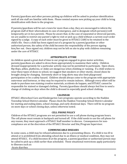Parents/guardians and other persons picking up children will be asked to produce identification until all site staff are familiar with them. Please remind anyone new picking up your child to bring identification with them to the program.

If parents/guardians will be out o town for more than a day, they are encouraged to inform the program staff of their whereabouts in case of emergency, and to designate which person(s) will temporarily act *in loco parentis*. Please be aware that, in the case of separated or divorced parents, we are unable to restrict one parent's right to visit or pick up a child without a current court order signed by a judge. A copy of such order must be given to HTSACC CARE to be retained in the child's file. Once a child has been signed out of a program by a parent/guardian or other authorized person, the safety of the child becomes the responsibility of the person signing him/her out. Once signed out, children may not be left on site to play with children remaining under the care of HTSACC

# **APPROPRIATE ATTIRE**

As children spend a great deal of time in our program engaged in gross motor activities, parents/guardians are asked to dress them appropriately to maximize their safety. Children dressed inappropriately for a particular activity may not be permitted to participate. Open shoes, flip-flops, jellies, platforms, or slides are dangerous when climbing or running. If a child wishes to wear these types of shoes to school, we suggest that sneakers or other sturdy, closed shoes be brought along for changing. Extremely short or long skirts may also limit playground participation or be a safety hazard. Children should always come to the program with appropriate outerwear and footwear, or they may be required to remain indoors. Although every effort will be made to purchase non-staining creative materials, accidents do happen, and HTSACC cannot be responsible for stained or damaged clothing. Parents/guardians should always feel free to send a change of clothing on days when the child is dressed in especially good school clothing.

#### **CALENDAR**

HTSACC Afterschool Care and Kindergarten Care programs operate according to the Haddon Township School District calendar. Please check the Haddon Township School District calendar for starting and ending dates, school closings, and early dismissal days. There will be no program on snow days or school closing days, unless otherwise noted.

#### **CELL PHONE POLICY**

Children of the HTSACC programs are not permitted to use a cell phone during program hours. The cell phone must remain in backpack and turned off. If the child needs to use the cell phone for any reason, they must approach a HTSACC Staff member to discuss. Consequences for noncompliance are at the discretion of the HTSACC Director and Site/Program Supervisor.

#### **COMMUNICABLE DISEASES**

In some cases, a child may be refused admission due to a presenting illness. If a child is too ill to attend or is prohibited from attending school due to an illness or medical condition, they may not attend HTSACC. If a child becomes ill at the program, a parent/guardian or authorized person may be called to pick up a child earlier than scheduled. These situational restrictions apply particularly to illnesses such as:

-Acute diarrhea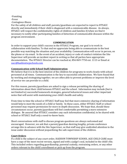-Vomiting -Fever -Contagious illness

For the safety of all children and staff, parents/guardians are expected to report to HTSACC directly and immediately if their child is diagnosed with a communicable disease. As always, HTSACC will respect the confidentiality rights of children and families if/when we find it necessary to notify other participating families of detection of communicable diseases within the program environment.

#### **COMMUNICATION**

In order to support your child's success in the HTSACC Program, our goal is to work in collaboration with families. To that end we appreciate being able to communicate in the best possible way matching the situation and your availability. Communication will occur in person, on the phone or via email. In the event of an accident, injury or code of conduct violation the Site Supervisor will provide an incident report in writing so that all parties have appropriate documentation. The HTSACC Director can be reached at, 856 869-7750 ext. 1113 or Email at sacc@haddontwpschools.com

#### **Communication with School Staff/Administration**

We believe that it is in the best interest of the children for programs to work closely with school personnel at all times. Communication is the key to successful collaboration. We have found that by working and strategizing together, we are often able to prevent problems or improve the level of service we can provide to a child.

For this reason, parents/guardians are asked to sign a release permitting the sharing of information about their child between HTSACC and the school. Information may include (but is not limited to) successful homework strategies, general behavioral issues and other important notes that will assist with maintaining your child's health and safety.

From time to time the school or HTSACC Staff may feel that more extensive sharing of information would help to meet the needs of a child or family. In these cases, either HTSACC Staff or school personnel may request permission for more in-depth discussion. We hope that, should these circumstances occur, parents/guardians will feel comfortable permitting a more extensive dialogue. Be assured that HTSACC considers any such information confidential, to be shared with school or HTSACC Staff only a need-to-know basis.

Short conversations with staff to discuss program questions are always welcomed and encouraged. However, we ask that a parent/guardian desiring lengthy, private conference arrange this in advance with the Site Supervisor, so that staff may give undivided attention to the issue under discussion without *jeopardizing* the safe supervision of the children.

# **Court Orders**

If a child is the subject of any court order, HADDON TOWNSHIP SCHOOL AGE CHILD CARE must have a copy of the most recent version, signed and with a judge's seal, included in the child's file. This included orders regarding guardianship, parental custody, restraining orders, or any other orders relevant to the child's enrollment or pick up from the program.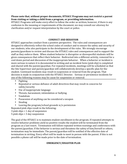**Please note that, without proper documents, HTSACC Programs may not restrict a parent** from visiting or taking a child from a program, or providing information.

HTSACC Programs will make every effort to follow the order as written; however, if there is any confusion to the meaning or requirements of the document, we may consult our attorney for clarification and/or request interpretation by the court or police.

# **CONDUCT AND BEHAVIOR**

HTSACC approaches conduct from a positive perspective. The rules and consequences are designed to effectively reflect the school codes of conduct and to ensure the safety and security of our students, who also participate in the development of the rules. We strongly encourage parents/guardians to review and discuss the HTSACC rules and consequences and to support the staff as they enforce them. When student behavior is disruptive or disrespectful students will be given consequences that reflect their behavior. Redirected into a different activity, removed for a cool down period and discussion of the inappropriate behavior. When a behavior or incident is more serious in nature it is documented in writing and an incident form (pink slip) is completed and shared with the parent/guardian. For repeated incidents, meetings will be scheduled so that the Site Supervisor and parent/guardian will collaboratively develop a specific plan for the student. Continued incidents may result in suspension or removal from the program. That decision is made in conjunction with the HTSACC Director. Serious or persistence incidents for one of the following reasons may be cause for suspension or removal:

- Fighting
- Repeated or serious defiance of adult directives that may result in concerns for safety/security
- Use of inappropriate language
- Threats, harassment, intimidation or bullying
- Vandalism
- Possession of anything can be considered a weapon
- Stealing
- Leaving the program/school grounds  $w/$  permission
- Repeated pink slips result in the following:
- $3$  pink slips  $= 1$  day of suspension
- $5$  pink slips  $= 3$  day suspension

The goal of the HTSACC is to maintain student enrollment in the program. If repeated attempts to resolve behavior problems yield no positive results the student will be terminated from the program as a last resort. Termination will follow repeated written warnings and conferences with the parent/guardian. If the behavior is serious and threatens the safety of him/herself or others, termination may be immediate. The parent/guardian will be notified of the effective date of termination in writing. Every effort will be made to meet in person with the parent. If this is not possible a phone call will be made prior to the date of termination.

# **EMERGENCY/DISASTER PLAN**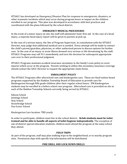HTSACC has developed an Emergency/Disaster Plan for response to emergencies, disasters, or other traumatic incidents which may occur during program hours or impact on the children enrolled in our program. This plan was developed in accordance with best practices and coordinated with the plans followed by the school district.

#### **EMERGENCY MEDICAL PROCEDURES**

In the event of a minor injury on site, the staff will administer basic first aid. In the case of a head injury, a separate head injury report will be given to parents at pick up.

In the case of a serious injury, the Site of Program Supervisor, in consultation with the HTSACC Director, may judge that additional medical care is needed. Every attempt will be made to contact the child's parent/guardian, physician, or other authorized person to discuss options for further care. In the case of an injury or acute illness deemed very serious or life threatening by the staff, HTSACC Programs may call 911 immediately and turn the decision for subsequent appropriate care over to their professional judgment.

HTSACC Programs maintain accident insurance secondary to the family's own policy to cover injuries which occur at the program. Parents wishing to utilize this secondary insurance coverage should contact the SACC Director to request the appropriate claim forms.

# **ENROLLMENT POLICY**

The HTSACC Programs offer afterschool care and kindergarten care. These are fixed tuition based programs supported by the Haddon Township Board of Education to provide care for Kindergarten through fifth grade children after their regular school hours. PM Kindergarten students may be enrolled in a before school care program. Afterschool care is provided on site at each of the Haddon Township Schools currently being served by HTSACC:

Edison School Jennings School Stoy School Strawbridge School Van Sciver School

Kindergarten Care location: TBD yearly

In order to participate, children must live in the school district. **Kclub students must be toilet trained and be able to handle all aspects of toilet hygiene independently.** The exception of out-of-district special education students, children must attend the program at the same school they attend.

#### **FIELD TRIPS**

As part of the program, staff may plan walking trips in the neighborhood, or to nearby program sites. Permission slips with specific trip information will be distributed.

# **FIRE DRILL AND LOCK DOWN DRILLS**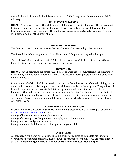A fire drill and lock down drill will be conducted at all SACC programs. Times and days of drills will vary.

# **HOLIDAY CELEBRATIONS**

HTSACC Programs recognize that children and staff enjoy celebrating holidays. The program will be inclusive and multicultural in our holiday celebrations, and encourage children to share traditions and activities from home. No child is ever required to participate in an activity if they are uncomfortable or the parent objects.

# **HOURS OF OPERATION**

The Before School Care program runs from 6:30 am-8:30am every day school is open.

The After School Care program runs from dismissal to 6:00 pm every day school is open.

The K Club AM Care runs from  $8:20 - 12:30$ . PM Care runs from  $11:00 - 3:00$ pm. Both Classes then filter into the Afterschool Care program as necessary.

# **HOMEWORK**

HTSACC Staff understands the stress caused by large amounts of homework and the pressure of other family commitments. Therefore, time will be reserved at the program for children to work on their homework.

It is also our belief that all children need a brief respite from the stresses of the school day, and an opportunity to enjoy socializing with the other children enrolled in the program. Every effort will be made to provide a quiet area to facilitate an optimum environment for children during homework time, within the constraints of space and staffing. Staff will not act as tutors, but will assist children much in the way a parent would. Some of our site locations may use a homework agreement. This agreement is a mutual decision if homework is to be completed on site during Afterschool Care.

# **INFORMATION CHANGE PROCEDURE**

In order to ensure the safety and security of your child, please notify us in writing or by email at sacc@haddontwpschools.com of any:

Change of home address or home phone number

Change of or new place of employment or employment phone number

Change of or new cell phone numbers

Change in names of adults authorized for pick up of your child.

# **LATE PICK UP**

All parents arriving after six o'clock pick-up time will be required to sign a late pick-up form verifying the actual time of arrival. The form will be forwarded to the HTSACC Office for further action. The late charge will be \$15.00 for every fifteen minutes after 6:00pm.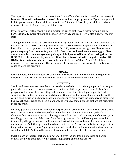The report of lateness is not at the discretion of the staff member, nor is it based on the reason for lateness. **Time will be based on the cell phone clock at the program site.** If you know you will be late, please make a phone call in advance to the Afterschool Care Site vour child attends and discuss with the Site Supervisor your intentions.

If you know you will be late, it is also important to call so that we can reassure your child, as he/she is usually aware of the time and may be worries about you. This is also a courtesy to our staff. 

Although we understand that occasionally a traffic problem or other situation may cause you to be late, we ask that you try to arrange for an alternate person to come for your child. If we have not been able to contact you to arrange for pickup by 6:15, we reserve the right to call someone on your emergency form to come for your child. If we have not heard from a parent/guardian, and are unable to locate anyone to pick up a child by one-half hour after closing time, the **HTSACC Director may, at his/her discretion, choose to consult with the police and/or NI DFC** for instruction as to how to proceed. Repeat offenders (3 Late Pick Up's) will be asked to discuss with the Director about other arrangements for pick up. If necessary, the family may be asked to leave the program.

# **MOVIES**

G rated movies and other videos are sometimes incorporated into the activities during HTSACC Programs. They are used primarily on half days and/or in inclement weather days.

#### **NUTRITION**

Snacks and beverages are provided to our students each day. It is an integral part of the program, giving children time to relax and enjoy conversation with their peers and the staff. Our food program will promote healthy eating and good nutrition. Students will participate in food selection, distribution, preparation and clean up. Our staff will also model and promote healthy eating, good nutrition and appropriate table manners, by sitting with the students and discussing healthy eating, modeling good table manners and by not consuming foods that are not permitted in the program.

Parents/guardians of children with food allergies should provide own daily snack to ensure safety. Due to the increase in and severity of nut, and other food allergies, HTSACC may decide to eliminate foods containing nuts or other ingredients from the snacks served, and if necessary and feasible, go so far as to prohibit them from the program site. If a child has any serious or life threatening allergy or medical condition related to food, these must be clarified, and a care plan outlining needs/solutions prepared in advance with the SACC Director. A list from the parent to the provider with acceptable/appropriate and safe snack choices, for a child with a food allergy would be helpful. Additional forms may be required to have on file with the program site.

Snack time is an integral part of our program. It gives the children time to relax and enjoy conversation with their peers, while reinforcing sharing and table manners.

# **NUTRITION POLICY**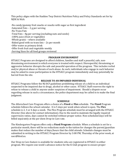This policy aligns with the Haddon Twp District Nutrition Policy and Policy Standards set for by NJDE & NAA:

| -No candy/gummy fruit snacks or snacks with sugar as first ingredient |
|-----------------------------------------------------------------------|
| -Saturated Fats – 2 g per serving                                     |
| -No Trans Fats                                                        |
| -Total Fats – 8g per serving (excluding nuts and seeds)               |
| -100% juice (fruit or vegetable)                                      |
| -Whole grains - where available                                       |
| -Baked good with no trans fats – 2x per month                         |
| -Offer water as primary drink                                         |
| -Offer fresh fruit and vegetable weekly                               |
| -Serving Sizes for all food groups reviewed                           |

# **PROGRAM ENVIRONMENT**

HTSACC Programs are designed to afford children, families and staff a peaceful, safe, nonthreatening environment in which everyone is treated with respect. Disrespectful, threatening or aggressive behavior disrupts the safe and peaceful operation of the program. This includes verbal and/or physical abuse or threats of such abuse. As such, individuals who engage in such behavior may be asked to cease participation in the HTSACC program immediately and may potentially be barred from the site.

# **RELEASE TO AN IMPAIRED INDIVIDUAL**

HTSACC Programs follow the NJ DCF guidelines prohibiting release of a child to an individual suspected to be impaired due to drugs, alcohol or other cause. HTSACC Staff reserves the right to refuse to release a child to anyone under suspicion of impairment. Should a dispute occur regarding release in such a circumstance, the police department may be called in to make the final judgment.

# **SCHEDULE**

The Afterschool Care Program offers a choice of a **Fixed** or **Flex** schedule. The **Fixed** Program schedule follows the school calendar. It is 5 days per week when school is open. The Flex schedule is 2, 3 or 4 days a week. The Flex Program schedule must be arranged with the HTSACC Director (See above for contact information). Due to the need to maintain the legally required supervisory ratios, days cannot be switched without proper notice. Non-scheduled days will be billed separately at the per diem Drop-in Care rate.

The Kindergarten Program offers only a **Fixed Program** schedule. When a schedule is set for a particular month, there will be no reductions made to the tuition for changes the parent/guardian makes that reduce the number of days/hours that the child attends. Schedule changes must be submitted in writing to the HTSACC Program Director by 3:00 PM, Thursday of the prior week, at sacc@htsd.us.

Our Drop-in Care feature is available for students who are registered in HTSACC in either program. We require one week's advance notice for the K Club program to ensure proper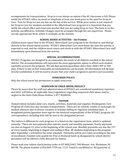arrangements for transportation. Drop in is not always an option if the KC classroom is full. Please notify the HTSACC office via email or telephone at least one week prior to the need for Drop-in Care. Fees for Drop-in Care are due on the day of the service. While prior notice is not required for Drop-in Care for students enrolled in the Afterschool Care program it is important that you notify the school office and classroom teacher that you are using Drop-in Care. The form is on the website sacc@htsd.us. Schedule Changes must be arranged through the site supervisor. Please use the appropriate form, which is available on the website.

#### **SCHOOL-BASED ACTIVITIES – On Premise**

Children must report first to the HTSACC Afterschool Care program to be checked in, and then go directly to the school-based activity. HTSACC Afterschool Care must know the time the activity is expected to end, and the children must return and check in with the HTSACC Afterschool Care staff immediately upon dismissal from the activity.

# **SPECIAL ACCOMMODATIONS**

HTSACC Programs are designed to accommodate the needs of all children enrolled in the school district. The accommodations will represent the most appropriate option to afford each student equitable access to the program. We ask that parents/guardians share their child's IEP or 504 plan, if there is one so that reasonable accommodations can be made. All information will be kept strictly confidential. It will be used to ensure that your child's program is positive and successful.

# **SUNSCREEN POLICY**

Only the school nurse has permission to apply sunscreen.

# **SUSPICION OF CHILD ABUSE/NEGLECT**

Please be aware that the staff and administration of HTSACC are considered mandatory reporters, and SACC will follow all applicable laws/regulations regarding suspected child abuse and/or neglect to the State Child Abuse Hotline 1-877-NJABUSE.

# **TUITION**

Annual tuition includes daily care, snacks, activities, materials and supplies. Kindergarten Care Program (K Club) fees also includes transportation. There are no refunds, credits or exchanges for student absences due to illness, vacation or holidays falling on regularly scheduled days. A designated parent/guardian must sign for the financial responsibility of the HTSACC program. All correspondence, including bills will be sent to the designated person.

The tuition is different for each program. It is listed on the registration form, which is updated annually. There are two payment plan options, yearly and monthly payments. Yearly payments are due on August 15, prior to the beginning of the school year. Monthly payments are due the  $15<sup>th</sup>$ of every month, beginning in August and ending in May. All students beginning in the program after September 1 will follow the same schedule. Payments will be pro-rated according to the date of enrollment. Families who qualify for Free or Reduced lunch as designated by school district personnel will be offered a 50% discount for tuition.

Please mail your tuition check/money order to HT BOE/SACC 500 Rhoads Ave, Westmont, NJ 08108. The phone number is  $856 869-7750$  ext. 1113. Email is sacc@htsd.us. All questions or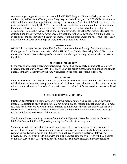concerns regarding tuition must be directed the HTSACC Program Director. Cash payments will not be accepted by site staff at any time. They may be made directly to the HTSACC Director at the office at Edison School by appointment during business hours. A late fee of \$25 will be assessed if payment is not received by the  $20<sup>th</sup>$  of the month. Accounts that remain unpaid on the last day of the month will result in removal from the program on the next school day. For re-entry the account must be paid by cash, certified check or money order. The HTSACC reserves the right to exclude a child when payments have repeatedly been more than 30 days late. An unpaid balance at the end of the school year will result in removal from the program for the following school year and will deny entry to any siblings as well, until the debt is paid in full.

#### **VIDEO GAMES**

HTSACC discourages the use of hand held video games from home during Afterschool Care and Kindergarten Care. Parents must sign off that HTSACC and Haddon Township School District are not responsible for loss or damage of such items when brought to the program site in the care of the child.

#### **WEATHER EMERGENCY**

In the care of a weather emergency, parents will be notified of any early closing of the childcare program through our GLOBAL CONNECT SERVICE which sends messages to all phones and emails addresses that you identify as your family contacts on the student responsibility form.

#### **WITHDRAWAL**

If withdrawal from the program is necessary, notice of two weeks prior to the first of the month in which the withdrawal will take place is required. Failure to meet all financial obligations prior to withdrawal or the end of the school year will result in refusal of future re-admission as outlined above. 

#### **SUMMER RECREATION PROGRAM**

**Summer Recreation** is a flexible, weekly tuition program supported by the Haddon Township Board of Education to provide care for children entering Kindergarten through entering  $5<sup>th</sup>$  Grade. It is held for 6 consecutive weeks in the summer. Summer Rec is held at the Edison School, 205 Melrose Ave., Westmont, NJ 08108. Parents/Guardian must complete the enrollment forms, pay tuition in full prior to the start of the program.

The Summer Recreation program runs from  $9:00 - 3:00$  pm with extended care available from  $8:00 - 9:00$  am and  $3:00 - 6:00$  pm daily during the 6 weeks of the program.

Summer Rec will provide a list of special events and field trips in advance to the parents for review. Field Trip parental/guardian permission slips will be required and all students must be registered in advance for each trip. Children do not have to attend field trips. Staff will be provided at the program site to supervise children not attending the trip. Trips will be on a first come, first serve basis. All trips and special events are subject to cancellation without notice.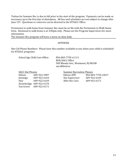Tuition for Summer Rec is due in full prior to the start of the program. Payments can be made as necessary up to the first day of attendance. All fees and schedules are not subject to change after June 15<sup>th</sup>. Ouestions or concerns can be directed to the HTSACC Office.

Permission to walk home from Summer Rec must be on file with the Permission to Walk Home form. Dismissal to walk home is at 3:00pm only. Please see the Program Supervisors for more information.

The Summer Rec program will have a nurse on duty daily.

#### APPENDIX

Site Cell Phone Numbers: Please have this number available to you when your child is scheduled for HTSACC programs:

School Age Child Care Office: 856-869-7750 x1113

BOE/SACC Office 500 Rhoads Ave., Westmont, NJ 08108 sacc@htsd.us

| <b>SACC Site Phones</b> |                          |                   | <b>Summer Recreation Phones</b> |  |  |
|-------------------------|--------------------------|-------------------|---------------------------------|--|--|
| Edison                  | 609-922-5987             | <b>Edison APR</b> | 856-869-7750 x3017              |  |  |
| Jennings                | 609-922-6164             | Site Supervisor   | 609-922-6169                    |  |  |
| Stoy                    | 609-922-6169             | After Rec Care    | 609-922-6171                    |  |  |
|                         | Strawbridge 609-922-6170 |                   |                                 |  |  |
| Van Sciver              | 609-922-6171             |                   |                                 |  |  |